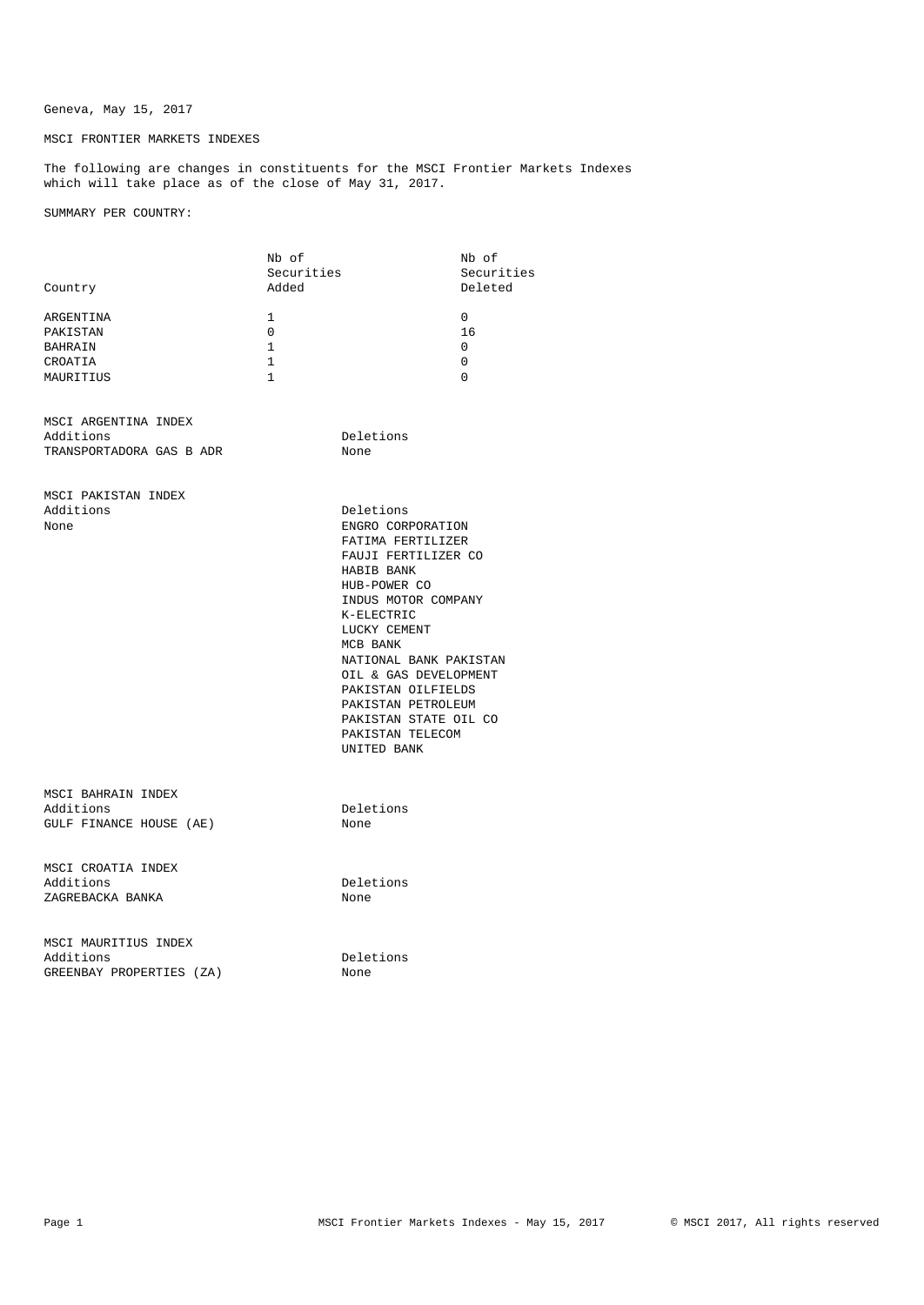## Geneva, May 15, 2017

## MSCI FRONTIER MARKETS INDEXES

The following are changes in constituents for the MSCI Frontier Markets Indexes which will take place as of the close of May 31, 2017.

SUMMARY PER COUNTRY:

|                                                               | Nb of<br>Securities                                          |                                                                                                                                                                                                                                                                                                                                      | Nb of<br>Securities           |
|---------------------------------------------------------------|--------------------------------------------------------------|--------------------------------------------------------------------------------------------------------------------------------------------------------------------------------------------------------------------------------------------------------------------------------------------------------------------------------------|-------------------------------|
| Country                                                       | Added                                                        |                                                                                                                                                                                                                                                                                                                                      | Deleted                       |
| ARGENTINA<br>PAKISTAN<br>BAHRAIN<br>CROATIA<br>MAURITIUS      | 1<br>$\Omega$<br>$\mathbf{1}$<br>$\mathbf 1$<br>$\mathbf{1}$ |                                                                                                                                                                                                                                                                                                                                      | 0<br>16<br>0<br>0<br>$\Omega$ |
| MSCI ARGENTINA INDEX<br>Additions<br>TRANSPORTADORA GAS B ADR |                                                              | Deletions<br>None                                                                                                                                                                                                                                                                                                                    |                               |
| MSCI PAKISTAN INDEX<br>Additions<br>None                      |                                                              | Deletions<br>ENGRO CORPORATION<br>FATIMA FERTILIZER<br>FAUJI FERTILIZER CO<br>HABIB BANK<br>HUB-POWER CO<br>INDUS MOTOR COMPANY<br>K-ELECTRIC<br>LUCKY CEMENT<br>MCB BANK<br>NATIONAL BANK PAKISTAN<br>OIL & GAS DEVELOPMENT<br>PAKISTAN OILFIELDS<br>PAKISTAN PETROLEUM<br>PAKISTAN STATE OIL CO<br>PAKISTAN TELECOM<br>UNITED BANK |                               |
| MSCI BAHRAIN INDEX<br>Additions<br>GULF FINANCE HOUSE (AE)    |                                                              | Deletions<br>None                                                                                                                                                                                                                                                                                                                    |                               |
| MSCI CROATIA INDEX<br>Additions<br>ZAGREBACKA BANKA           |                                                              | Deletions<br>None                                                                                                                                                                                                                                                                                                                    |                               |
| MSCI MAURITIUS INDEX<br>Additions<br>GREENBAY PROPERTIES (ZA) |                                                              | Deletions<br>None                                                                                                                                                                                                                                                                                                                    |                               |